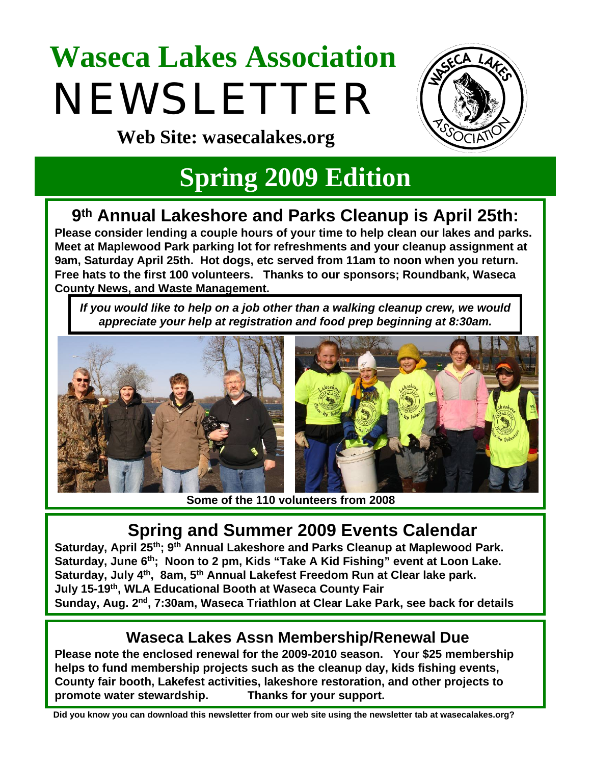# **Waseca Lakes Association**  NEWSLETTER



**Web Site: wasecalakes.org**

### **Spring 2009 Edition**

#### **9th Annual Lakeshore and Parks Cleanup is April 25th:**

**Please consider lending a couple hours of your time to help clean our lakes and parks. Meet at Maplewood Park parking lot for refreshments and your cleanup assignment at 9am, Saturday April 25th. Hot dogs, etc served from 11am to noon when you return. Free hats to the first 100 volunteers. Thanks to our sponsors; Roundbank, Waseca County News, and Waste Management.**

If you would like to help on a job other than a walking cleanup crew, we would *appreciate your help at registration and food prep beginning at 8:30am.* 



**Some of the 110 volunteers from 2008**

#### **Spring and Summer 2009 Events Calendar**

Saturday, April 25<sup>th</sup>; 9<sup>th</sup> Annual Lakeshore and Parks Cleanup at Maplewood Park. **Saturday, June 6th; Noon to 2 pm, Kids "Take A Kid Fishing" event at Loon Lake.** Saturday, July 4<sup>th</sup>, 8am, 5<sup>th</sup> Annual Lakefest Freedom Run at Clear lake park. **July 15-19th, WLA Educational Booth at Waseca County Fair Sunday, Aug. 2nd, 7:30am, Waseca Triathlon at Clear Lake Park, see back for details**

#### **Waseca Lakes Assn Membership/Renewal Due**

**Please note the enclosed renewal for the 2009-2010 season. Your \$25 membership helps to fund membership projects such as the cleanup day, kids fishing events, County fair booth, Lakefest activities, lakeshore restoration, and other projects to promote water stewardship. Thanks for your support.**

**Did you know you can download this newsletter from our web site using the newsletter tab at wasecalakes.org?**